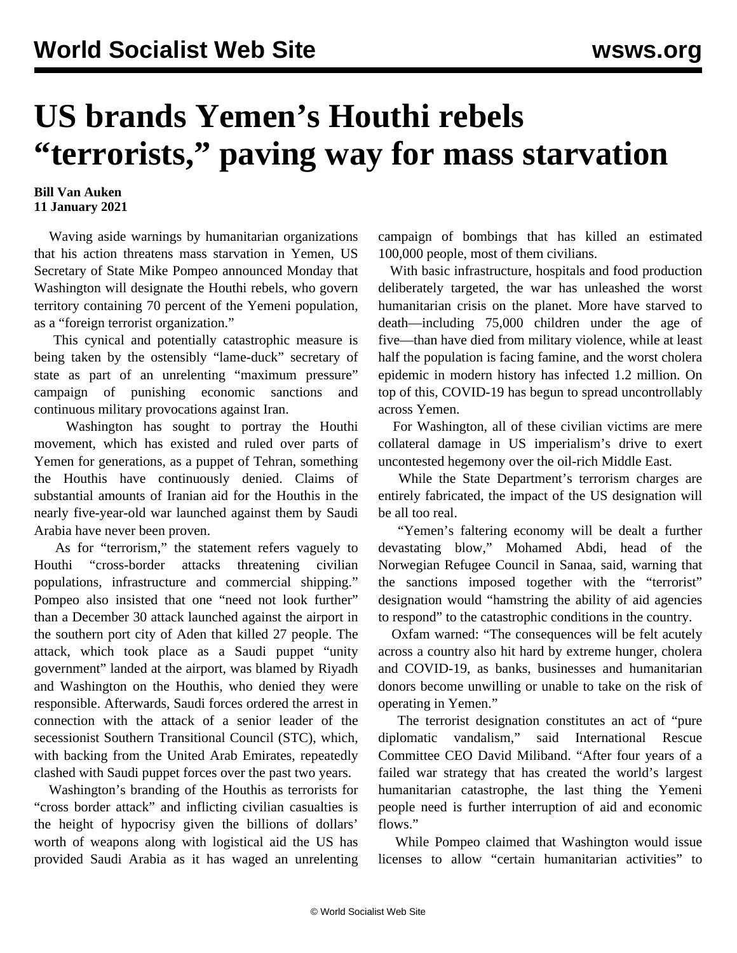## **US brands Yemen's Houthi rebels "terrorists," paving way for mass starvation**

## **Bill Van Auken 11 January 2021**

 Waving aside warnings by humanitarian organizations that his action threatens mass starvation in Yemen, US Secretary of State Mike Pompeo announced Monday that Washington will designate the Houthi rebels, who govern territory containing 70 percent of the Yemeni population, as a "foreign terrorist organization."

 This cynical and potentially catastrophic measure is being taken by the ostensibly "lame-duck" secretary of state as part of an unrelenting "maximum pressure" campaign of punishing economic sanctions and continuous military provocations against Iran.

 Washington has sought to portray the Houthi movement, which has existed and ruled over parts of Yemen for generations, as a puppet of Tehran, something the Houthis have continuously denied. Claims of substantial amounts of Iranian aid for the Houthis in the nearly five-year-old war launched against them by Saudi Arabia have never been proven.

 As for "terrorism," the statement refers vaguely to Houthi "cross-border attacks threatening civilian populations, infrastructure and commercial shipping." Pompeo also insisted that one "need not look further" than a December 30 attack launched against the airport in the southern port city of Aden that killed 27 people. The attack, which took place as a Saudi puppet "unity government" landed at the airport, was blamed by Riyadh and Washington on the Houthis, who denied they were responsible. Afterwards, Saudi forces ordered the arrest in connection with the attack of a senior leader of the secessionist Southern Transitional Council (STC), which, with backing from the United Arab Emirates, repeatedly clashed with Saudi puppet forces over the past two years.

 Washington's branding of the Houthis as terrorists for "cross border attack" and inflicting civilian casualties is the height of hypocrisy given the billions of dollars' worth of weapons along with logistical aid the US has provided Saudi Arabia as it has waged an unrelenting campaign of bombings that has killed an estimated 100,000 people, most of them civilians.

 With basic infrastructure, hospitals and food production deliberately targeted, the war has unleashed the worst humanitarian crisis on the planet. More have starved to death—including 75,000 children under the age of five—than have died from military violence, while at least half the population is facing famine, and the worst cholera epidemic in modern history has infected 1.2 million. On top of this, COVID-19 has begun to spread uncontrollably across Yemen.

 For Washington, all of these civilian victims are mere collateral damage in US imperialism's drive to exert uncontested hegemony over the oil-rich Middle East.

 While the State Department's terrorism charges are entirely fabricated, the impact of the US designation will be all too real.

 "Yemen's faltering economy will be dealt a further devastating blow," Mohamed Abdi, head of the Norwegian Refugee Council in Sanaa, said, warning that the sanctions imposed together with the "terrorist" designation would "hamstring the ability of aid agencies to respond" to the catastrophic conditions in the country.

 Oxfam warned: "The consequences will be felt acutely across a country also hit hard by extreme hunger, cholera and COVID-19, as banks, businesses and humanitarian donors become unwilling or unable to take on the risk of operating in Yemen."

 The terrorist designation constitutes an act of "pure diplomatic vandalism," said International Rescue Committee CEO David Miliband. "After four years of a failed war strategy that has created the world's largest humanitarian catastrophe, the last thing the Yemeni people need is further interruption of aid and economic flows."

 While Pompeo claimed that Washington would issue licenses to allow "certain humanitarian activities" to